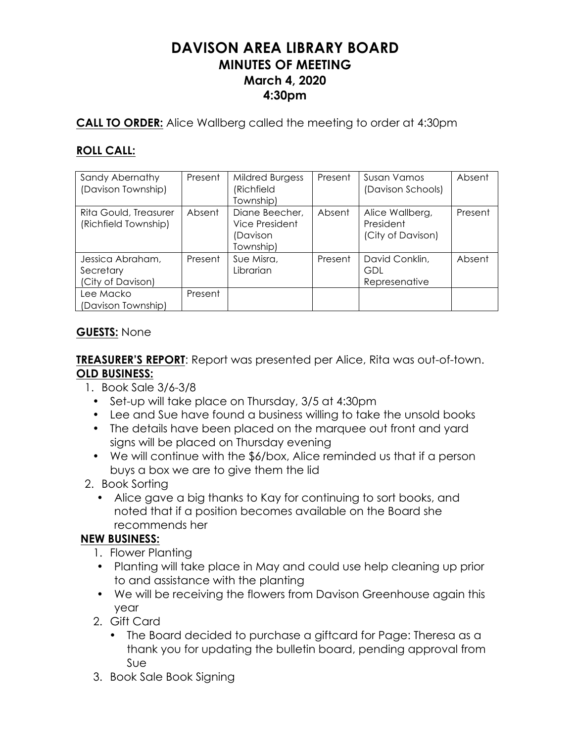# **DAVISON AREA LIBRARY BOARD MINUTES OF MEETING March 4, 2020 4:30pm**

**CALL TO ORDER:** Alice Wallberg called the meeting to order at 4:30pm

## **ROLL CALL:**

| Sandy Abernathy<br>(Davison Township)              | Present | <b>Mildred Burgess</b><br>(Richfield<br>Township)         | Present | <b>Susan Vamos</b><br>(Davison Schools)           | Absent  |
|----------------------------------------------------|---------|-----------------------------------------------------------|---------|---------------------------------------------------|---------|
| Rita Gould, Treasurer<br>(Richfield Township)      | Absent  | Diane Beecher,<br>Vice President<br>(Davison<br>Township) | Absent  | Alice Wallberg,<br>President<br>(City of Davison) | Present |
| Jessica Abraham,<br>Secretary<br>(City of Davison) | Present | Sue Misra,<br>Librarian                                   | Present | David Conklin,<br>GDL<br>Represenative            | Absent  |
| Lee Macko<br>(Davison Township)                    | Present |                                                           |         |                                                   |         |

## **GUESTS:** None

**TREASURER'S REPORT**: Report was presented per Alice, Rita was out-of-town. **OLD BUSINESS:**

- 1. Book Sale 3/6-3/8
	- Set-up will take place on Thursday, 3/5 at 4:30pm
	- Lee and Sue have found a business willing to take the unsold books
	- The details have been placed on the marquee out front and yard signs will be placed on Thursday evening
	- We will continue with the \$6/box, Alice reminded us that if a person buys a box we are to give them the lid
- 2. Book Sorting
	- Alice gave a big thanks to Kay for continuing to sort books, and noted that if a position becomes available on the Board she recommends her

## **NEW BUSINESS:**

- 1. Flower Planting
- Planting will take place in May and could use help cleaning up prior to and assistance with the planting
- We will be receiving the flowers from Davison Greenhouse again this year
- 2. Gift Card
	- The Board decided to purchase a giftcard for Page: Theresa as a thank you for updating the bulletin board, pending approval from Sue
- 3. Book Sale Book Signing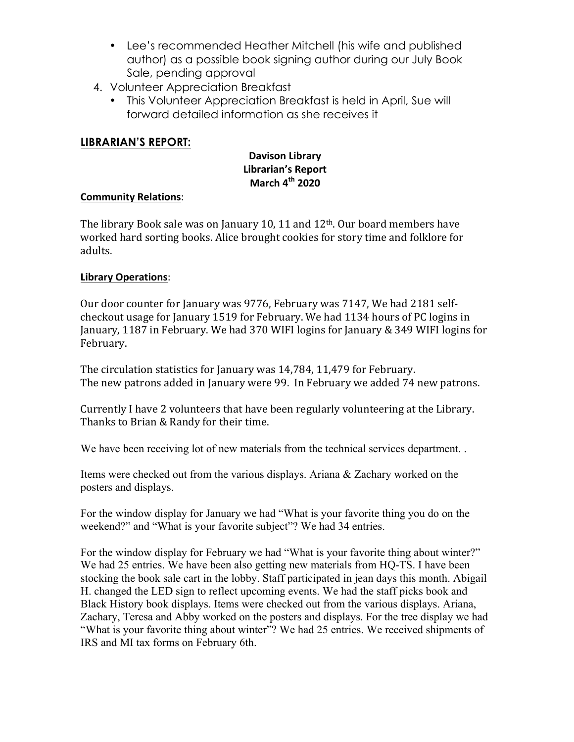- Lee's recommended Heather Mitchell (his wife and published author) as a possible book signing author during our July Book Sale, pending approval
- 4. Volunteer Appreciation Breakfast
	- This Volunteer Appreciation Breakfast is held in April, Sue will forward detailed information as she receives it

## **LIBRARIAN'S REPORT:**

## **Davison Library Librarian's Report March 4th 2020**

### **Community Relations**:

The library Book sale was on January 10, 11 and  $12<sup>th</sup>$ . Our board members have worked hard sorting books. Alice brought cookies for story time and folklore for adults.

### **Library Operations**:

Our door counter for January was 9776, February was 7147, We had 2181 selfcheckout usage for January 1519 for February. We had 1134 hours of PC logins in January, 1187 in February. We had 370 WIFI logins for January & 349 WIFI logins for February. 

The circulation statistics for January was 14,784, 11,479 for February. The new patrons added in January were 99. In February we added 74 new patrons.

Currently I have 2 volunteers that have been regularly volunteering at the Library. Thanks to Brian & Randy for their time.

We have been receiving lot of new materials from the technical services department. .

Items were checked out from the various displays. Ariana & Zachary worked on the posters and displays.

For the window display for January we had "What is your favorite thing you do on the weekend?" and "What is your favorite subject"? We had 34 entries.

For the window display for February we had "What is your favorite thing about winter?" We had 25 entries. We have been also getting new materials from HQ-TS. I have been stocking the book sale cart in the lobby. Staff participated in jean days this month. Abigail H. changed the LED sign to reflect upcoming events. We had the staff picks book and Black History book displays. Items were checked out from the various displays. Ariana, Zachary, Teresa and Abby worked on the posters and displays. For the tree display we had "What is your favorite thing about winter"? We had 25 entries. We received shipments of IRS and MI tax forms on February 6th.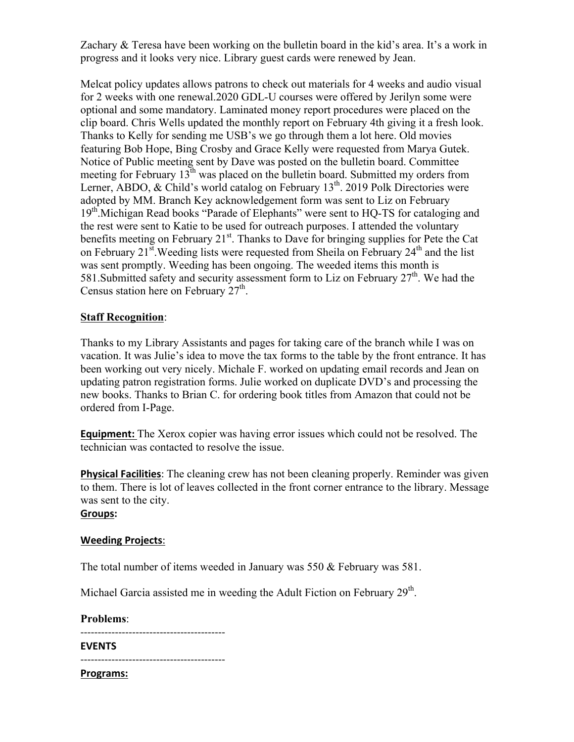Zachary & Teresa have been working on the bulletin board in the kid's area. It's a work in progress and it looks very nice. Library guest cards were renewed by Jean.

Melcat policy updates allows patrons to check out materials for 4 weeks and audio visual for 2 weeks with one renewal.2020 GDL-U courses were offered by Jerilyn some were optional and some mandatory. Laminated money report procedures were placed on the clip board. Chris Wells updated the monthly report on February 4th giving it a fresh look. Thanks to Kelly for sending me USB's we go through them a lot here. Old movies featuring Bob Hope, Bing Crosby and Grace Kelly were requested from Marya Gutek. Notice of Public meeting sent by Dave was posted on the bulletin board. Committee meeting for February  $13<sup>th</sup>$  was placed on the bulletin board. Submitted my orders from Lerner, ABDO,  $& Child's world catalog on February 13<sup>th</sup>$ . 2019 Polk Directories were adopted by MM. Branch Key acknowledgement form was sent to Liz on February 19<sup>th</sup>.Michigan Read books "Parade of Elephants" were sent to HQ-TS for cataloging and the rest were sent to Katie to be used for outreach purposes. I attended the voluntary benefits meeting on February  $21<sup>st</sup>$ . Thanks to Dave for bringing supplies for Pete the Cat on February  $21^{st}$ . Weeding lists were requested from Sheila on February  $24^{th}$  and the list was sent promptly. Weeding has been ongoing. The weeded items this month is 581. Submitted safety and security assessment form to Liz on February  $27<sup>th</sup>$ . We had the Census station here on February  $27<sup>th</sup>$ .

### **Staff Recognition**:

Thanks to my Library Assistants and pages for taking care of the branch while I was on vacation. It was Julie's idea to move the tax forms to the table by the front entrance. It has been working out very nicely. Michale F. worked on updating email records and Jean on updating patron registration forms. Julie worked on duplicate DVD's and processing the new books. Thanks to Brian C. for ordering book titles from Amazon that could not be ordered from I-Page.

**Equipment:** The Xerox copier was having error issues which could not be resolved. The technician was contacted to resolve the issue.

**Physical Facilities**: The cleaning crew has not been cleaning properly. Reminder was given to them. There is lot of leaves collected in the front corner entrance to the library. Message was sent to the city.

#### **Groups:**

#### **Weeding Projects**:

The total number of items weeded in January was 550 & February was 581.

Michael Garcia assisted me in weeding the Adult Fiction on February 29<sup>th</sup>.

**Problems**:

------------------------------------------

------------------------------------------

**Programs:**

**EVENTS**